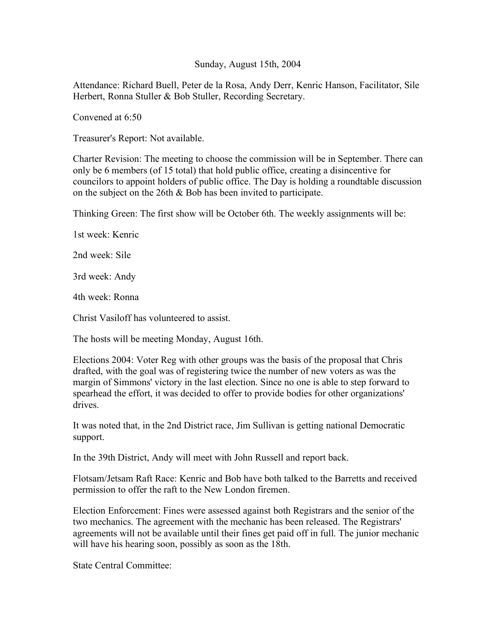## Sunday, August 15th, 2004

Attendance: Richard Buell, Peter de la Rosa, Andy Derr, Kenric Hanson, Facilitator, Sile Herbert, Ronna Stuller & Bob Stuller, Recording Secretary.

Convened at 6:50

Treasurer's Report: Not available.

Charter Revision: The meeting to choose the commission will be in September. There can only be 6 members (of 15 total) that hold public office, creating a disincentive for councilors to appoint holders of public office. The Day is holding a roundtable discussion on the subject on the 26th & Bob has been invited to participate.

Thinking Green: The first show will be October 6th. The weekly assignments will be:

1st week: Kenric

2nd week: Sile

3rd week: Andy

4th week: Ronna

Christ Vasiloff has volunteered to assist.

The hosts will be meeting Monday, August 16th.

Elections 2004: Voter Reg with other groups was the basis of the proposal that Chris drafted, with the goal was of registering twice the number of new voters as was the margin of Simmons' victory in the last election. Since no one is able to step forward to spearhead the effort, it was decided to offer to provide bodies for other organizations' drives.

It was noted that, in the 2nd District race, Jim Sullivan is getting national Democratic support.

In the 39th District, Andy will meet with John Russell and report back.

Flotsam/Jetsam Raft Race: Kenric and Bob have both talked to the Barretts and received permission to offer the raft to the New London firemen.

Election Enforcement: Fines were assessed against both Registrars and the senior of the two mechanics. The agreement with the mechanic has been released. The Registrars' agreements will not be available until their fines get paid off in full. The junior mechanic will have his hearing soon, possibly as soon as the 18th.

State Central Committee: